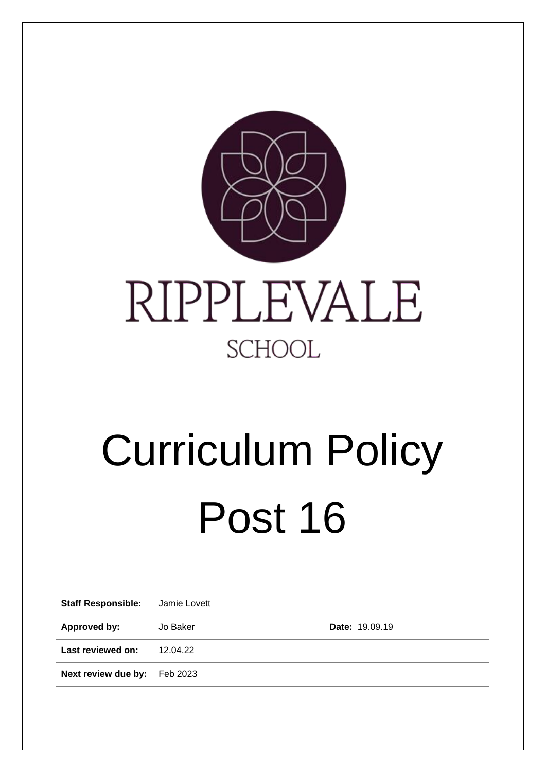

# Curriculum Policy Post 16

| <b>Staff Responsible:</b> | Jamie Lovett |                |  |
|---------------------------|--------------|----------------|--|
| Approved by:              | Jo Baker     | Date: 19.09.19 |  |
| Last reviewed on:         | 12.04.22     |                |  |
| Next review due by:       | Feb 2023     |                |  |
|                           |              |                |  |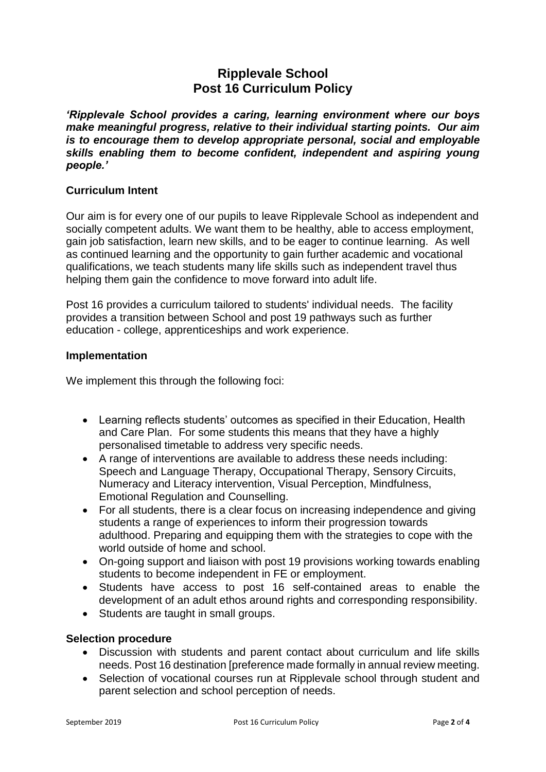# **Ripplevale School Post 16 Curriculum Policy**

*'Ripplevale School provides a caring, learning environment where our boys make meaningful progress, relative to their individual starting points. Our aim is to encourage them to develop appropriate personal, social and employable skills enabling them to become confident, independent and aspiring young people.'*

# **Curriculum Intent**

Our aim is for every one of our pupils to leave Ripplevale School as independent and socially competent adults. We want them to be healthy, able to access employment, gain job satisfaction, learn new skills, and to be eager to continue learning. As well as continued learning and the opportunity to gain further academic and vocational qualifications, we teach students many life skills such as independent travel thus helping them gain the confidence to move forward into adult life.

Post 16 provides a curriculum tailored to students' individual needs. The facility provides a transition between School and post 19 pathways such as further education - college, apprenticeships and work experience.

#### **Implementation**

We implement this through the following foci:

- Learning reflects students' outcomes as specified in their Education, Health and Care Plan. For some students this means that they have a highly personalised timetable to address very specific needs.
- A range of interventions are available to address these needs including: Speech and Language Therapy, Occupational Therapy, Sensory Circuits, Numeracy and Literacy intervention, Visual Perception, Mindfulness, Emotional Regulation and Counselling.
- For all students, there is a clear focus on increasing independence and giving students a range of experiences to inform their progression towards adulthood. Preparing and equipping them with the strategies to cope with the world outside of home and school.
- On-going support and liaison with post 19 provisions working towards enabling students to become independent in FE or employment.
- Students have access to post 16 self-contained areas to enable the development of an adult ethos around rights and corresponding responsibility.
- Students are taught in small groups.

# **Selection procedure**

- Discussion with students and parent contact about curriculum and life skills needs. Post 16 destination [preference made formally in annual review meeting.
- Selection of vocational courses run at Ripplevale school through student and parent selection and school perception of needs.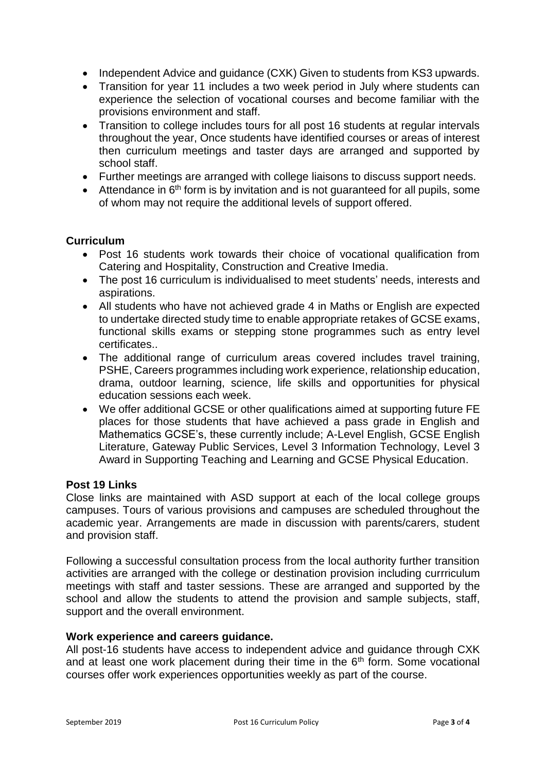- Independent Advice and guidance (CXK) Given to students from KS3 upwards.
- Transition for year 11 includes a two week period in July where students can experience the selection of vocational courses and become familiar with the provisions environment and staff.
- Transition to college includes tours for all post 16 students at regular intervals throughout the year, Once students have identified courses or areas of interest then curriculum meetings and taster days are arranged and supported by school staff.
- Further meetings are arranged with college liaisons to discuss support needs.
- Attendance in  $6<sup>th</sup>$  form is by invitation and is not quaranteed for all pupils, some of whom may not require the additional levels of support offered.

## **Curriculum**

- Post 16 students work towards their choice of vocational qualification from Catering and Hospitality, Construction and Creative Imedia.
- The post 16 curriculum is individualised to meet students' needs, interests and aspirations.
- All students who have not achieved grade 4 in Maths or English are expected to undertake directed study time to enable appropriate retakes of GCSE exams, functional skills exams or stepping stone programmes such as entry level certificates..
- The additional range of curriculum areas covered includes travel training, PSHE, Careers programmes including work experience, relationship education, drama, outdoor learning, science, life skills and opportunities for physical education sessions each week.
- We offer additional GCSE or other qualifications aimed at supporting future FE places for those students that have achieved a pass grade in English and Mathematics GCSE's, these currently include; A-Level English, GCSE English Literature, Gateway Public Services, Level 3 Information Technology, Level 3 Award in Supporting Teaching and Learning and GCSE Physical Education.

#### **Post 19 Links**

Close links are maintained with ASD support at each of the local college groups campuses. Tours of various provisions and campuses are scheduled throughout the academic year. Arrangements are made in discussion with parents/carers, student and provision staff.

Following a successful consultation process from the local authority further transition activities are arranged with the college or destination provision including currriculum meetings with staff and taster sessions. These are arranged and supported by the school and allow the students to attend the provision and sample subjects, staff, support and the overall environment.

## **Work experience and careers guidance.**

All post-16 students have access to independent advice and guidance through CXK and at least one work placement during their time in the  $6<sup>th</sup>$  form. Some vocational courses offer work experiences opportunities weekly as part of the course.